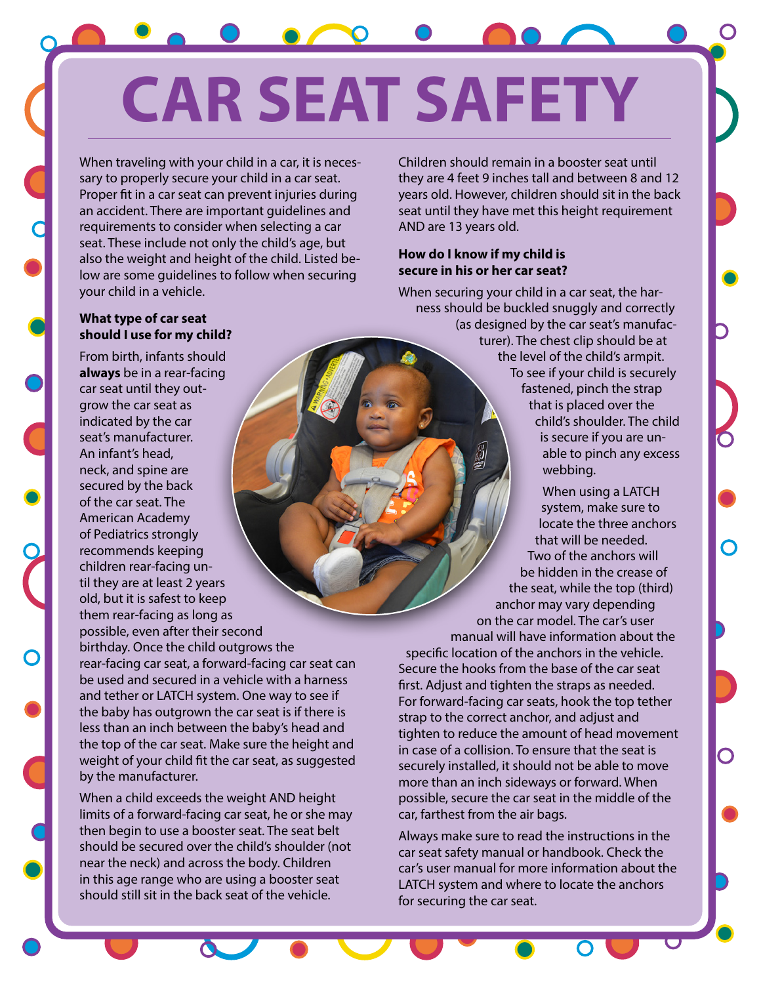# **CAR SEAT SAFETY**

When traveling with your child in a car, it is necessary to properly secure your child in a car seat. Proper fit in a car seat can prevent injuries during an accident. There are important guidelines and requirements to consider when selecting a car seat. These include not only the child's age, but also the weight and height of the child. Listed below are some guidelines to follow when securing your child in a vehicle.

Children should remain in a booster seat until they are 4 feet 9 inches tall and between 8 and 12 years old. However, children should sit in the back seat until they have met this height requirement AND are 13 years old.

### **How do I know if my child is secure in his or her car seat?**

When securing your child in a car seat, the harness should be buckled snuggly and correctly (as designed by the car seat's manufacturer). The chest clip should be at the level of the child's armpit. To see if your child is securely fastened, pinch the strap that is placed over the child's shoulder. The child is secure if you are unable to pinch any excess webbing.

When using a LATCH system, make sure to locate the three anchors that will be needed. Two of the anchors will be hidden in the crease of the seat, while the top (third) anchor may vary depending on the car model. The car's user manual will have information about the specific location of the anchors in the vehicle. Secure the hooks from the base of the car seat first. Adjust and tighten the straps as needed. For forward-facing car seats, hook the top tether strap to the correct anchor, and adjust and tighten to reduce the amount of head movement in case of a collision. To ensure that the seat is securely installed, it should not be able to move more than an inch sideways or forward. When possible, secure the car seat in the middle of the car, farthest from the air bags.

Always make sure to read the instructions in the car seat safety manual or handbook. Check the car's user manual for more information about the LATCH system and where to locate the anchors for securing the car seat.

## **What type of car seat should I use for my child?**

From birth, infants should **always** be in a rear-facing car seat until they outgrow the car seat as indicated by the car seat's manufacturer. An infant's head, neck, and spine are secured by the back of the car seat. The American Academy of Pediatrics strongly recommends keeping children rear-facing until they are at least 2 years old, but it is safest to keep them rear-facing as long as possible, even after their second

birthday. Once the child outgrows the rear-facing car seat, a forward-facing car seat can be used and secured in a vehicle with a harness and tether or LATCH system. One way to see if the baby has outgrown the car seat is if there is less than an inch between the baby's head and the top of the car seat. Make sure the height and weight of your child fit the car seat, as suggested by the manufacturer.

When a child exceeds the weight AND height limits of a forward-facing car seat, he or she may then begin to use a booster seat. The seat belt should be secured over the child's shoulder (not near the neck) and across the body. Children in this age range who are using a booster seat should still sit in the back seat of the vehicle.